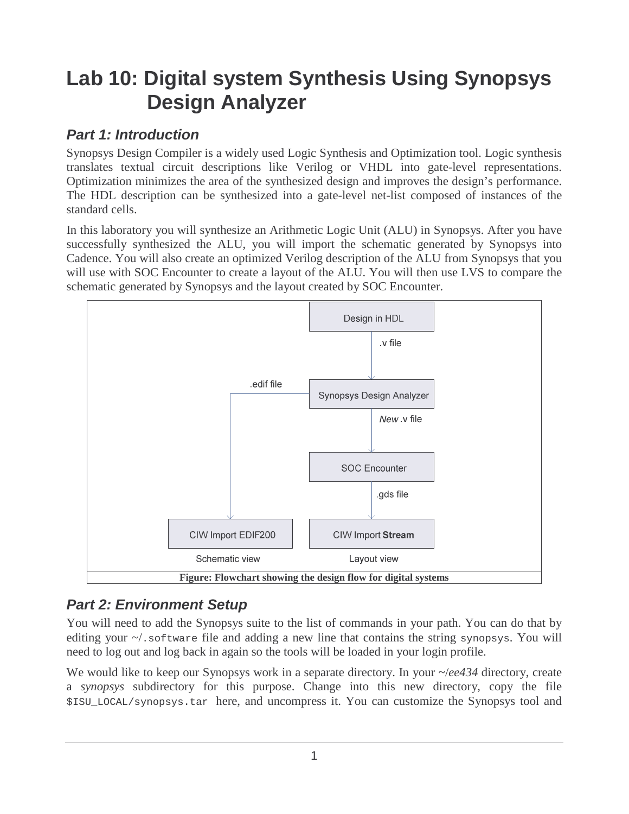# **Lab 10: Digital system Synthesis Using Synopsys Design Analyzer**

## **Part 1: Introduction**

Synopsys Design Compiler is a widely used Logic Synthesis and Optimization tool. Logic synthesis translates textual circuit descriptions like Verilog or VHDL into gate-level representations. Optimization minimizes the area of the synthesized design and improves the design's performance. The HDL description can be synthesized into a gate-level net-list composed of instances of the standard cells.

In this laboratory you will synthesize an Arithmetic Logic Unit (ALU) in Synopsys. After you have successfully synthesized the ALU, you will import the schematic generated by Synopsys into Cadence. You will also create an optimized Verilog description of the ALU from Synopsys that you will use with SOC Encounter to create a layout of the ALU. You will then use LVS to compare the schematic generated by Synopsys and the layout created by SOC Encounter.



# **Part 2: Environment Setup**

You will need to add the Synopsys suite to the list of commands in your path. You can do that by editing your  $\sim$ . software file and adding a new line that contains the string synopsys. You will need to log out and log back in again so the tools will be loaded in your login profile.

We would like to keep our Synopsys work in a separate directory. In your  $\sim$ /*ee434* directory, create a *synopsys* subdirectory for this purpose. Change into this new directory, copy the file \$ISU\_LOCAL/synopsys.tar here, and uncompress it. You can customize the Synopsys tool and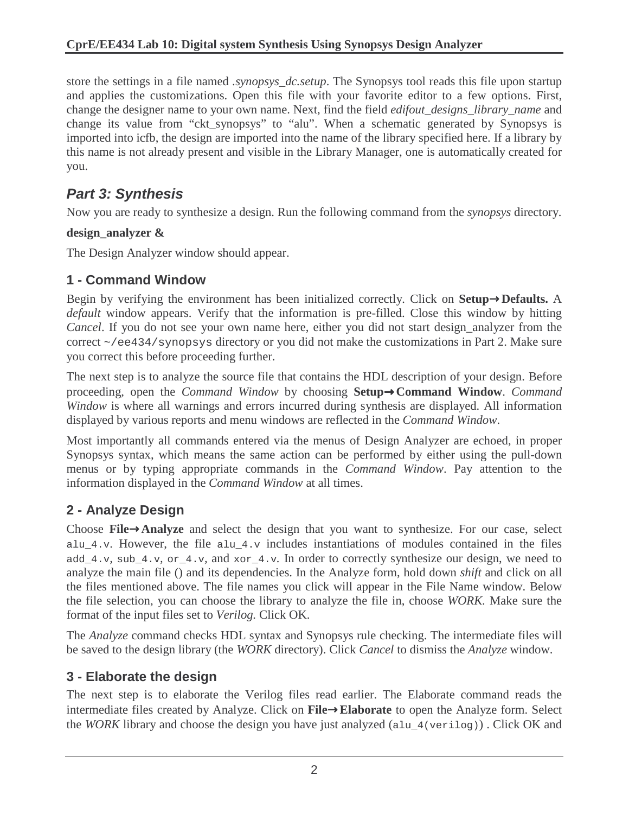store the settings in a file named *.synopsys\_dc.setup*. The Synopsys tool reads this file upon startup and applies the customizations. Open this file with your favorite editor to a few options. First, change the designer name to your own name. Next, find the field *edifout\_designs\_library\_name* and change its value from "ckt\_synopsys" to "alu". When a schematic generated by Synopsys is imported into icfb, the design are imported into the name of the library specified here. If a library by this name is not already present and visible in the Library Manager, one is automatically created for you.

# **Part 3: Synthesis**

Now you are ready to synthesize a design. Run the following command from the *synopsys* directory.

#### **design\_analyzer &**

The Design Analyzer window should appear.

#### **1 - Command Window**

Begin by verifying the environment has been initialized correctly*.* Click on **Setup**→**Defaults.** A *default* window appears. Verify that the information is pre-filled. Close this window by hitting *Cancel*. If you do not see your own name here, either you did not start design\_analyzer from the correct ~/ee434/synopsys directory or you did not make the customizations in Part 2. Make sure you correct this before proceeding further.

The next step is to analyze the source file that contains the HDL description of your design. Before proceeding, open the *Command Window* by choosing **Setup**→**Command Window**. *Command Window* is where all warnings and errors incurred during synthesis are displayed. All information displayed by various reports and menu windows are reflected in the *Command Window*.

Most importantly all commands entered via the menus of Design Analyzer are echoed, in proper Synopsys syntax, which means the same action can be performed by either using the pull-down menus or by typing appropriate commands in the *Command Window*. Pay attention to the information displayed in the *Command Window* at all times.

## **2 - Analyze Design**

Choose **File**→**Analyze** and select the design that you want to synthesize. For our case, select alu\_4.v. However, the file alu\_4.v includes instantiations of modules contained in the files add\_4.v*,* sub\_4.v*,* or\_4.v*,* and xor\_4.v*.* In order to correctly synthesize our design, we need to analyze the main file () and its dependencies. In the Analyze form, hold down *shift* and click on all the files mentioned above. The file names you click will appear in the File Name window. Below the file selection, you can choose the library to analyze the file in, choose *WORK.* Make sure the format of the input files set to *Verilog.* Click OK.

The *Analyze* command checks HDL syntax and Synopsys rule checking. The intermediate files will be saved to the design library (the *WORK* directory). Click *Cancel* to dismiss the *Analyze* window.

#### **3 - Elaborate the design**

The next step is to elaborate the Verilog files read earlier. The Elaborate command reads the intermediate files created by Analyze. Click on **File**→**Elaborate** to open the Analyze form. Select the *WORK* library and choose the design you have just analyzed (alu  $4$ (verilog)). Click OK and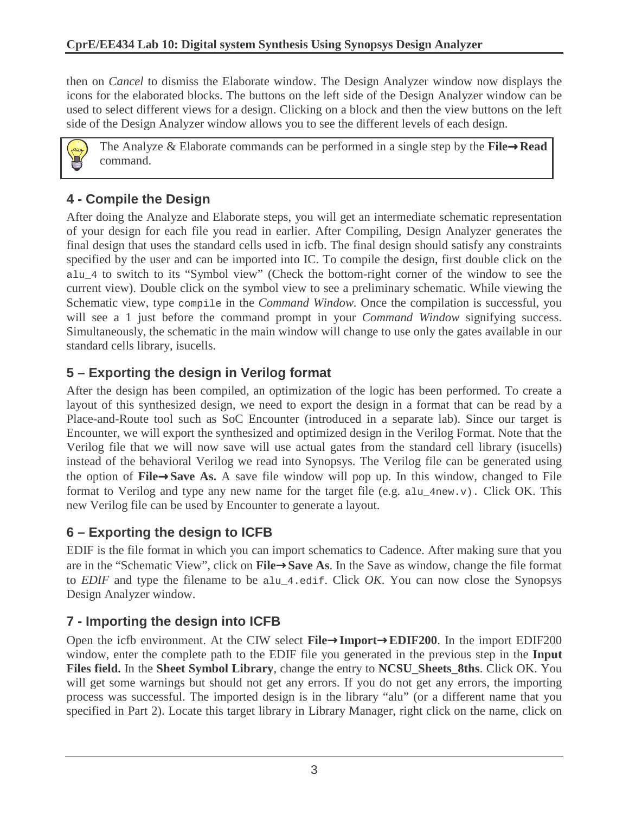then on *Cancel* to dismiss the Elaborate window. The Design Analyzer window now displays the icons for the elaborated blocks. The buttons on the left side of the Design Analyzer window can be used to select different views for a design. Clicking on a block and then the view buttons on the left side of the Design Analyzer window allows you to see the different levels of each design.



The Analyze & Elaborate commands can be performed in a single step by the **File**→**Read**  command.

# **4 - Compile the Design**

After doing the Analyze and Elaborate steps, you will get an intermediate schematic representation of your design for each file you read in earlier. After Compiling, Design Analyzer generates the final design that uses the standard cells used in icfb. The final design should satisfy any constraints specified by the user and can be imported into IC. To compile the design, first double click on the alu\_4 to switch to its "Symbol view" (Check the bottom-right corner of the window to see the current view). Double click on the symbol view to see a preliminary schematic. While viewing the Schematic view, type compile in the *Command Window.* Once the compilation is successful, you will see a 1 just before the command prompt in your *Command Window* signifying success. Simultaneously, the schematic in the main window will change to use only the gates available in our standard cells library, isucells.

## **5 – Exporting the design in Verilog format**

After the design has been compiled, an optimization of the logic has been performed. To create a layout of this synthesized design, we need to export the design in a format that can be read by a Place-and-Route tool such as SoC Encounter (introduced in a separate lab). Since our target is Encounter, we will export the synthesized and optimized design in the Verilog Format. Note that the Verilog file that we will now save will use actual gates from the standard cell library (isucells) instead of the behavioral Verilog we read into Synopsys. The Verilog file can be generated using the option of **File**→**Save As.** A save file window will pop up. In this window, changed to File format to Verilog and type any new name for the target file (e.g. alu\_4new.v). Click OK. This new Verilog file can be used by Encounter to generate a layout.

## **6 – Exporting the design to ICFB**

EDIF is the file format in which you can import schematics to Cadence. After making sure that you are in the "Schematic View", click on **File**→**Save As**. In the Save as window, change the file format to *EDIF* and type the filename to be alu\_4.edif. Click *OK*. You can now close the Synopsys Design Analyzer window.

## **7 - Importing the design into ICFB**

Open the icfb environment. At the CIW select **File**→**Import**→**EDIF200**. In the import EDIF200 window, enter the complete path to the EDIF file you generated in the previous step in the **Input Files field.** In the **Sheet Symbol Library**, change the entry to **NCSU\_Sheets\_8ths**. Click OK. You will get some warnings but should not get any errors. If you do not get any errors, the importing process was successful. The imported design is in the library "alu" (or a different name that you specified in Part 2). Locate this target library in Library Manager, right click on the name, click on